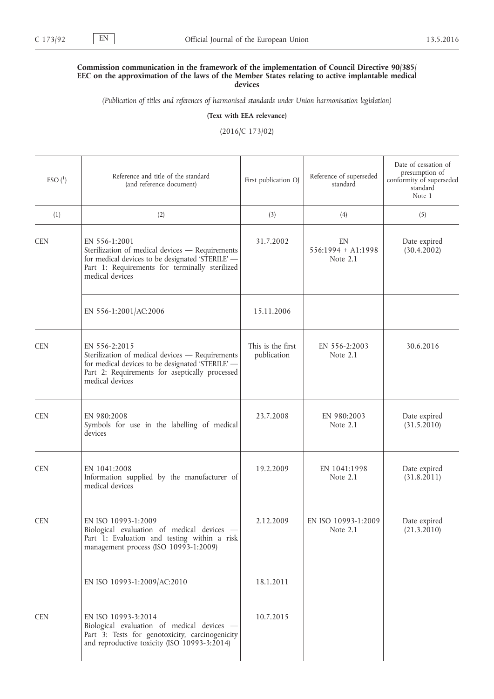## **Commission communication in the framework of the implementation of Council Directive 90/385/ EEC on the approximation of the laws of the Member States relating to active implantable medical devices**

*(Publication of titles and references of harmonised standards under Union harmonisation legislation)*

**(Text with EEA relevance)**

(2016/C 173/02)

| $ESO(^{1})$ | Reference and title of the standard<br>(and reference document)                                                                                                                           | First publication OJ             | Reference of superseded<br>standard    | Date of cessation of<br>presumption of<br>conformity of superseded<br>standard<br>Note 1 |
|-------------|-------------------------------------------------------------------------------------------------------------------------------------------------------------------------------------------|----------------------------------|----------------------------------------|------------------------------------------------------------------------------------------|
| (1)         | (2)                                                                                                                                                                                       | (3)                              | (4)                                    | (5)                                                                                      |
| <b>CEN</b>  | EN 556-1:2001<br>Sterilization of medical devices - Requirements<br>for medical devices to be designated 'STERILE' -<br>Part 1: Requirements for terminally sterilized<br>medical devices | 31.7.2002                        | EN<br>$556:1994 + A1:1998$<br>Note 2.1 | Date expired<br>(30.4.2002)                                                              |
|             | EN 556-1:2001/AC:2006                                                                                                                                                                     | 15.11.2006                       |                                        |                                                                                          |
| <b>CEN</b>  | EN 556-2:2015<br>Sterilization of medical devices - Requirements<br>for medical devices to be designated 'STERILE' -<br>Part 2: Requirements for aseptically processed<br>medical devices | This is the first<br>publication | EN 556-2:2003<br>Note $2.1$            | 30.6.2016                                                                                |
| <b>CEN</b>  | EN 980:2008<br>Symbols for use in the labelling of medical<br>devices                                                                                                                     | 23.7.2008                        | EN 980:2003<br>Note $2.1$              | Date expired<br>(31.5.2010)                                                              |
| <b>CEN</b>  | EN 1041:2008<br>Information supplied by the manufacturer of<br>medical devices                                                                                                            | 19.2.2009                        | EN 1041:1998<br>Note $2.1$             | Date expired<br>(31.8.2011)                                                              |
| <b>CEN</b>  | EN ISO 10993-1:2009<br>Biological evaluation of medical devices -<br>Part 1: Evaluation and testing within a risk<br>management process (ISO 10993-1:2009)                                | 2.12.2009                        | EN ISO 10993-1:2009<br>Note 2.1        | Date expired<br>(21.3.2010)                                                              |
|             | EN ISO 10993-1:2009/AC:2010                                                                                                                                                               | 18.1.2011                        |                                        |                                                                                          |
| <b>CEN</b>  | EN ISO 10993-3:2014<br>Biological evaluation of medical devices -<br>Part 3: Tests for genotoxicity, carcinogenicity<br>and reproductive toxicity (ISO 10993-3:2014)                      | 10.7.2015                        |                                        |                                                                                          |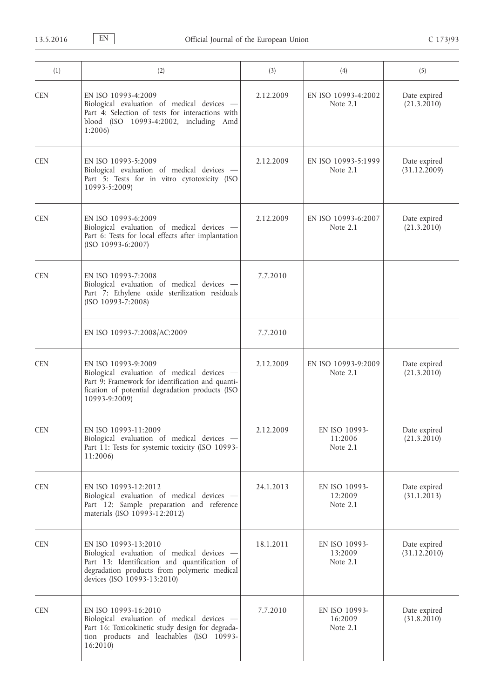| (1)        | (2)                                                                                                                                                                                               | (3)       | (4)                                    | (5)                          |
|------------|---------------------------------------------------------------------------------------------------------------------------------------------------------------------------------------------------|-----------|----------------------------------------|------------------------------|
| <b>CEN</b> | EN ISO 10993-4:2009<br>Biological evaluation of medical devices -<br>Part 4: Selection of tests for interactions with<br>blood (ISO 10993-4:2002, including Amd<br>1:2006                         | 2.12.2009 | EN ISO 10993-4:2002<br>Note 2.1        | Date expired<br>(21.3.2010)  |
| <b>CEN</b> | EN ISO 10993-5:2009<br>Biological evaluation of medical devices -<br>Part 5: Tests for in vitro cytotoxicity (ISO<br>10993-5:2009)                                                                | 2.12.2009 | EN ISO 10993-5:1999<br>Note 2.1        | Date expired<br>(31.12.2009) |
| <b>CEN</b> | EN ISO 10993-6:2009<br>Biological evaluation of medical devices -<br>Part 6: Tests for local effects after implantation<br>$(ISO 10993-6:2007)$                                                   | 2.12.2009 | EN ISO 10993-6:2007<br>Note $2.1$      | Date expired<br>(21.3.2010)  |
| <b>CEN</b> | EN ISO 10993-7:2008<br>Biological evaluation of medical devices -<br>Part 7: Ethylene oxide sterilization residuals<br>(ISO 10993-7:2008)                                                         | 7.7.2010  |                                        |                              |
|            | EN ISO 10993-7:2008/AC:2009                                                                                                                                                                       | 7.7.2010  |                                        |                              |
| <b>CEN</b> | EN ISO 10993-9:2009<br>Biological evaluation of medical devices -<br>Part 9: Framework for identification and quanti-<br>fication of potential degradation products (ISO<br>10993-9:2009)         | 2.12.2009 | EN ISO 10993-9:2009<br>Note 2.1        | Date expired<br>(21.3.2010)  |
| <b>CEN</b> | EN ISO 10993-11:2009<br>Biological evaluation of medical devices -<br>Part 11: Tests for systemic toxicity (ISO 10993-<br>11:2006)                                                                | 2.12.2009 | EN ISO 10993-<br>11:2006<br>Note 2.1   | Date expired<br>(21.3.2010)  |
| <b>CEN</b> | EN ISO 10993-12:2012<br>Biological evaluation of medical devices -<br>Part 12: Sample preparation and reference<br>materials (ISO 10993-12:2012)                                                  | 24.1.2013 | EN ISO 10993-<br>12:2009<br>Note 2.1   | Date expired<br>(31.1.2013)  |
| <b>CEN</b> | EN ISO 10993-13:2010<br>Biological evaluation of medical devices -<br>Part 13: Identification and quantification of<br>degradation products from polymeric medical<br>devices (ISO 10993-13:2010) | 18.1.2011 | EN ISO 10993-<br>13:2009<br>Note $2.1$ | Date expired<br>(31.12.2010) |
| <b>CEN</b> | EN ISO 10993-16:2010<br>Biological evaluation of medical devices -<br>Part 16: Toxicokinetic study design for degrada-<br>tion products and leachables (ISO 10993-<br>16:2010                     | 7.7.2010  | EN ISO 10993-<br>16:2009<br>Note 2.1   | Date expired<br>(31.8.2010)  |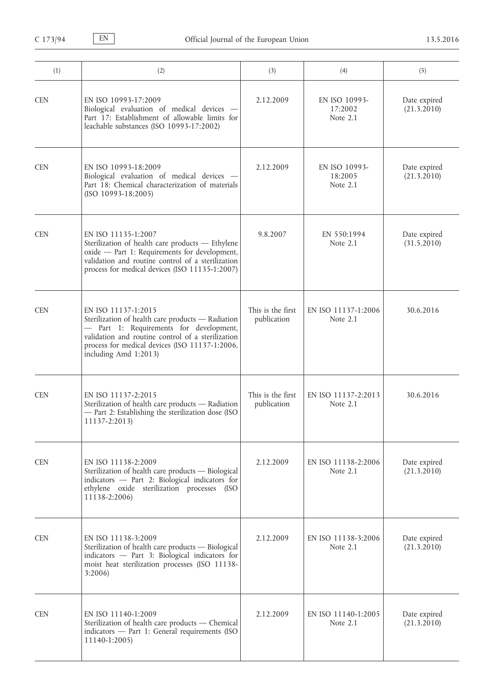| (1)        | (2)                                                                                                                                                                                                                                                 | (3)                              | (4)                                    | (5)                         |
|------------|-----------------------------------------------------------------------------------------------------------------------------------------------------------------------------------------------------------------------------------------------------|----------------------------------|----------------------------------------|-----------------------------|
| <b>CEN</b> | EN ISO 10993-17:2009<br>Biological evaluation of medical devices -<br>Part 17: Establishment of allowable limits for<br>leachable substances (ISO 10993-17:2002)                                                                                    | 2.12.2009                        | EN ISO 10993-<br>17:2002<br>Note $2.1$ | Date expired<br>(21.3.2010) |
| <b>CEN</b> | EN ISO 10993-18:2009<br>Biological evaluation of medical devices -<br>Part 18: Chemical characterization of materials<br>$(ISO 10993-18:2005)$                                                                                                      | 2.12.2009                        | EN ISO 10993-<br>18:2005<br>Note 2.1   | Date expired<br>(21.3.2010) |
| <b>CEN</b> | EN ISO 11135-1:2007<br>Sterilization of health care products - Ethylene<br>oxide - Part 1: Requirements for development,<br>validation and routine control of a sterilization<br>process for medical devices (ISO 11135-1:2007)                     | 9.8.2007                         | EN 550:1994<br>Note 2.1                | Date expired<br>(31.5.2010) |
| <b>CEN</b> | EN ISO 11137-1:2015<br>Sterilization of health care products - Radiation<br>- Part 1: Requirements for development,<br>validation and routine control of a sterilization<br>process for medical devices (ISO 11137-1:2006,<br>including Amd 1:2013) | This is the first<br>publication | EN ISO 11137-1:2006<br>Note $2.1$      | 30.6.2016                   |
| <b>CEN</b> | EN ISO 11137-2:2015<br>Sterilization of health care products - Radiation<br>- Part 2: Establishing the sterilization dose (ISO<br>11137-2:2013)                                                                                                     | This is the first<br>publication | EN ISO 11137-2:2013<br>Note 2.1        | 30.6.2016                   |
| <b>CEN</b> | EN ISO 11138-2:2009<br>Sterilization of health care products - Biological<br>indicators - Part 2: Biological indicators for<br>ethylene oxide sterilization processes (ISO<br>11138-2:2006)                                                         | 2.12.2009                        | EN ISO 11138-2:2006<br>Note 2.1        | Date expired<br>(21.3.2010) |
| <b>CEN</b> | EN ISO 11138-3:2009<br>Sterilization of health care products - Biological<br>indicators - Part 3: Biological indicators for<br>moist heat sterilization processes (ISO 11138-<br>3:2006                                                             | 2.12.2009                        | EN ISO 11138-3:2006<br>Note 2.1        | Date expired<br>(21.3.2010) |
| <b>CEN</b> | EN ISO 11140-1:2009<br>Sterilization of health care products - Chemical<br>indicators - Part 1: General requirements (ISO<br>11140-1:2005)                                                                                                          | 2.12.2009                        | EN ISO 11140-1:2005<br>Note 2.1        | Date expired<br>(21.3.2010) |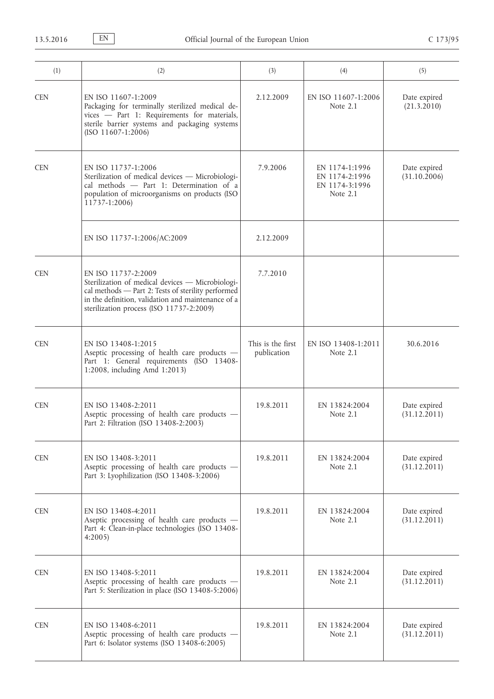| (1)        | (2)                                                                                                                                                                                                                             | (3)                              | (4)                                                            | (5)                          |
|------------|---------------------------------------------------------------------------------------------------------------------------------------------------------------------------------------------------------------------------------|----------------------------------|----------------------------------------------------------------|------------------------------|
| <b>CEN</b> | EN ISO 11607-1:2009<br>Packaging for terminally sterilized medical de-<br>vices - Part 1: Requirements for materials,<br>sterile barrier systems and packaging systems<br>$(ISO 11607-1:2006)$                                  | 2.12.2009                        | EN ISO 11607-1:2006<br>Note 2.1                                | Date expired<br>(21.3.2010)  |
| <b>CEN</b> | EN ISO 11737-1:2006<br>Sterilization of medical devices - Microbiologi-<br>cal methods - Part 1: Determination of a<br>population of microorganisms on products (ISO<br>11737-1:2006)                                           | 7.9.2006                         | EN 1174-1:1996<br>EN 1174-2:1996<br>EN 1174-3:1996<br>Note 2.1 | Date expired<br>(31.10.2006) |
|            | EN ISO 11737-1:2006/AC:2009                                                                                                                                                                                                     | 2.12.2009                        |                                                                |                              |
| <b>CEN</b> | EN ISO 11737-2:2009<br>Sterilization of medical devices - Microbiologi-<br>cal methods - Part 2: Tests of sterility performed<br>in the definition, validation and maintenance of a<br>sterilization process (ISO 11737-2:2009) | 7.7.2010                         |                                                                |                              |
| <b>CEN</b> | EN ISO 13408-1:2015<br>Aseptic processing of health care products -<br>Part 1: General requirements (ISO 13408-<br>1:2008, including Amd 1:2013)                                                                                | This is the first<br>publication | EN ISO 13408-1:2011<br>Note 2.1                                | 30.6.2016                    |
| <b>CEN</b> | EN ISO 13408-2:2011<br>Aseptic processing of health care products -<br>Part 2: Filtration (ISO 13408-2:2003)                                                                                                                    | 19.8.2011                        | EN 13824:2004<br>Note $2.1$                                    | Date expired<br>(31.12.2011) |
| <b>CEN</b> | EN ISO 13408-3:2011<br>Aseptic processing of health care products -<br>Part 3: Lyophilization (ISO 13408-3:2006)                                                                                                                | 19.8.2011                        | EN 13824:2004<br>Note $2.1$                                    | Date expired<br>(31.12.2011) |
| <b>CEN</b> | EN ISO 13408-4:2011<br>Aseptic processing of health care products -<br>Part 4: Clean-in-place technologies (ISO 13408-<br>4:2005                                                                                                | 19.8.2011                        | EN 13824:2004<br>Note 2.1                                      | Date expired<br>(31.12.2011) |
| <b>CEN</b> | EN ISO 13408-5:2011<br>Aseptic processing of health care products -<br>Part 5: Sterilization in place (ISO 13408-5:2006)                                                                                                        | 19.8.2011                        | EN 13824:2004<br>Note $2.1$                                    | Date expired<br>(31.12.2011) |
| <b>CEN</b> | EN ISO 13408-6:2011<br>Aseptic processing of health care products -<br>Part 6: Isolator systems (ISO 13408-6:2005)                                                                                                              | 19.8.2011                        | EN 13824:2004<br>Note 2.1                                      | Date expired<br>(31.12.2011) |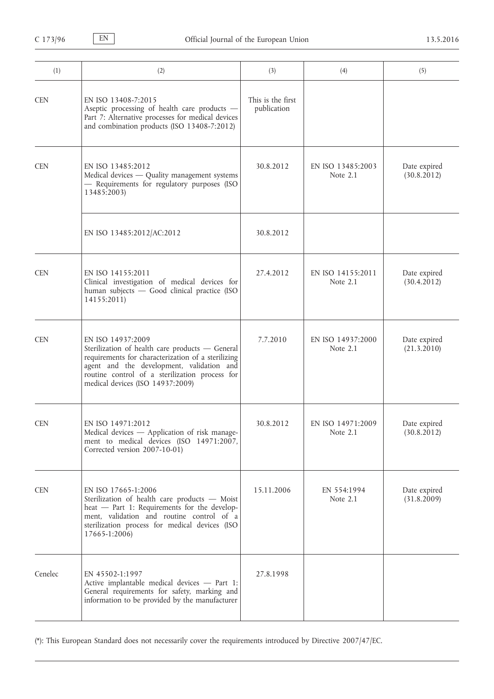| (1)        | (2)                                                                                                                                                                                                                                                           | (3)                              | (4)                             | (5)                         |
|------------|---------------------------------------------------------------------------------------------------------------------------------------------------------------------------------------------------------------------------------------------------------------|----------------------------------|---------------------------------|-----------------------------|
| <b>CEN</b> | EN ISO 13408-7:2015<br>Aseptic processing of health care products -<br>Part 7: Alternative processes for medical devices<br>and combination products (ISO 13408-7:2012)                                                                                       | This is the first<br>publication |                                 |                             |
| <b>CEN</b> | EN ISO 13485:2012<br>Medical devices - Quality management systems<br>- Requirements for regulatory purposes (ISO<br>13485:2003)                                                                                                                               | 30.8.2012                        | EN ISO 13485:2003<br>Note 2.1   | Date expired<br>(30.8.2012) |
|            | EN ISO 13485:2012/AC:2012                                                                                                                                                                                                                                     | 30.8.2012                        |                                 |                             |
| <b>CEN</b> | EN ISO 14155:2011<br>Clinical investigation of medical devices for<br>human subjects - Good clinical practice (ISO<br>14155:2011)                                                                                                                             | 27.4.2012                        | EN ISO 14155:2011<br>Note 2.1   | Date expired<br>(30.4.2012) |
| <b>CEN</b> | EN ISO 14937:2009<br>Sterilization of health care products - General<br>requirements for characterization of a sterilizing<br>agent and the development, validation and<br>routine control of a sterilization process for<br>medical devices (ISO 14937:2009) | 7.7.2010                         | EN ISO 14937:2000<br>Note $2.1$ | Date expired<br>(21.3.2010) |
| <b>CEN</b> | EN ISO 14971:2012<br>Medical devices - Application of risk manage-<br>ment to medical devices (ISO 14971:2007,<br>Corrected version 2007-10-01)                                                                                                               | 30.8.2012                        | EN ISO 14971:2009<br>Note $2.1$ | Date expired<br>(30.8.2012) |
| <b>CEN</b> | EN ISO 17665-1:2006<br>Sterilization of health care products - Moist<br>heat - Part 1: Requirements for the develop-<br>ment, validation and routine control of a<br>sterilization process for medical devices (ISO<br>17665-1:2006)                          | 15.11.2006                       | EN 554:1994<br>Note 2.1         | Date expired<br>(31.8.2009) |
| Cenelec    | EN 45502-1:1997<br>Active implantable medical devices - Part 1:<br>General requirements for safety, marking and<br>information to be provided by the manufacturer                                                                                             | 27.8.1998                        |                                 |                             |

(\*): This European Standard does not necessarily cover the requirements introduced by Directive 2007/47/EC.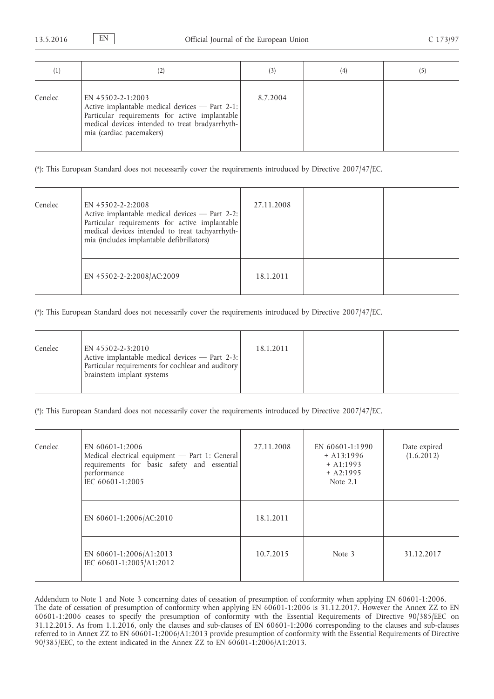| $\left(1\right)$ | (2)                                                                                                                                                                                                  |          | (4) |  |
|------------------|------------------------------------------------------------------------------------------------------------------------------------------------------------------------------------------------------|----------|-----|--|
| Cenelec          | EN 45502-2-1:2003<br>Active implantable medical devices - Part 2-1:<br>Particular requirements for active implantable<br>medical devices intended to treat bradyarrhyth-<br>mia (cardiac pacemakers) | 8.7.2004 |     |  |

(\*): This European Standard does not necessarily cover the requirements introduced by Directive 2007/47/EC.

| Cenelec | EN 45502-2-2:2008<br>Active implantable medical devices - Part 2-2:<br>Particular requirements for active implantable<br>medical devices intended to treat tachyarrhyth-<br>mia (includes implantable defibrillators) | 27.11.2008 |  |
|---------|-----------------------------------------------------------------------------------------------------------------------------------------------------------------------------------------------------------------------|------------|--|
|         | EN 45502-2-2:2008/AC:2009                                                                                                                                                                                             | 18.1.2011  |  |

(\*): This European Standard does not necessarily cover the requirements introduced by Directive 2007/47/EC.

| Cenelec | EN 45502-2-3:2010<br>Active implantable medical devices - Part 2-3:<br>Particular requirements for cochlear and auditory<br>brainstem implant systems | 18.1.2011 |  |
|---------|-------------------------------------------------------------------------------------------------------------------------------------------------------|-----------|--|
|         |                                                                                                                                                       |           |  |

(\*): This European Standard does not necessarily cover the requirements introduced by Directive 2007/47/EC.

| Cenelec | EN 60601-1:2006<br>Medical electrical equipment - Part 1: General<br>requirements for basic safety and essential<br>performance<br>IEC 60601-1:2005 | 27.11.2008 | EN 60601-1:1990<br>$+$ A13:1996<br>$+$ A1:1993<br>$+ A2:1995$<br>Note 2.1 | Date expired<br>(1.6.2012) |
|---------|-----------------------------------------------------------------------------------------------------------------------------------------------------|------------|---------------------------------------------------------------------------|----------------------------|
|         | EN 60601-1:2006/AC:2010                                                                                                                             | 18.1.2011  |                                                                           |                            |
|         | EN 60601-1:2006/A1:2013<br>IEC 60601-1:2005/A1:2012                                                                                                 | 10.7.2015  | Note 3                                                                    | 31.12.2017                 |

Addendum to Note 1 and Note 3 concerning dates of cessation of presumption of conformity when applying EN 60601-1:2006. The date of cessation of presumption of conformity when applying EN 60601-1:2006 is 31.12.2017. However the Annex ZZ to EN 60601-1:2006 ceases to specify the presumption of conformity with the Essential Requirements of Directive 90/385/EEC on 31.12.2015. As from 1.1.2016, only the clauses and sub-clauses of EN 60601-1:2006 corresponding to the clauses and sub-clauses referred to in Annex ZZ to EN 60601-1:2006/A1:2013 provide presumption of conformity with the Essential Requirements of Directive 90/385/EEC, to the extent indicated in the Annex ZZ to EN 60601-1:2006/A1:2013.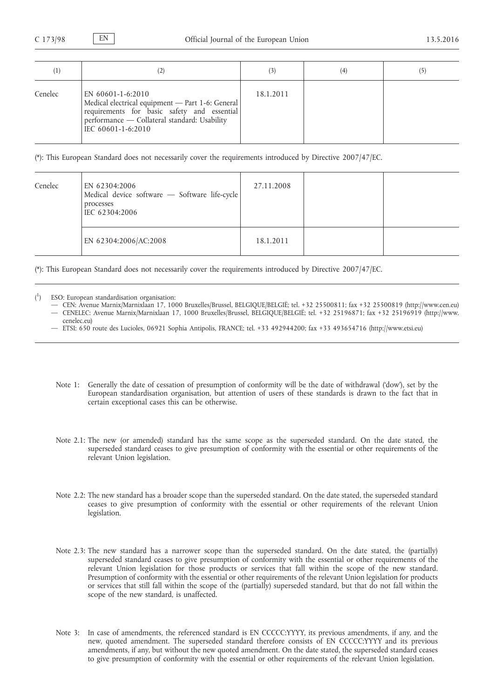| $\left(1\right)$ | (2)                                                                                                                                                                                        |           | (4) | (5) |
|------------------|--------------------------------------------------------------------------------------------------------------------------------------------------------------------------------------------|-----------|-----|-----|
| Cenelec          | EN 60601-1-6:2010<br>Medical electrical equipment - Part 1-6: General<br>requirements for basic safety and essential<br>performance - Collateral standard: Usability<br>IEC 60601-1-6:2010 | 18.1.2011 |     |     |

(\*): This European Standard does not necessarily cover the requirements introduced by Directive 2007/47/EC.

| Cenelec | EN 62304:2006<br>Medical device software - Software life-cycle<br>processes<br>IEC 62304:2006 | 27.11.2008 |  |
|---------|-----------------------------------------------------------------------------------------------|------------|--|
|         | EN 62304:2006/AC:2008                                                                         | 18.1.2011  |  |

(\*): This European Standard does not necessarily cover the requirements introduced by Directive 2007/47/EC.

- $\binom{1}{1}$ ) ESO: European standardisation organisation:
	- CEN: Avenue Marnix/Marnixlaan 17, 1000 Bruxelles/Brussel, BELGIQUE/BELGIË; tel. +32 25500811; fax +32 25500819 [\(http://www.cen.eu\)](http://www.cen.eu) — CENELEC: Avenue Marnix/Marnixlaan 17, 1000 Bruxelles/Brussel, BELGIQUE/BELGIË; tel. +32 25196871; fax +32 25196919 ([http://www.](http://www.cenelec.eu) [cenelec.eu\)](http://www.cenelec.eu)
	- ETSI: 650 route des Lucioles, 06921 Sophia Antipolis, FRANCE; tel. +33 492944200; fax +33 493654716 [\(http://www.etsi.eu\)](http://www.etsi.eu)
	- Note 1: Generally the date of cessation of presumption of conformity will be the date of withdrawal ('dow'), set by the European standardisation organisation, but attention of users of these standards is drawn to the fact that in certain exceptional cases this can be otherwise.
	- Note 2.1: The new (or amended) standard has the same scope as the superseded standard. On the date stated, the superseded standard ceases to give presumption of conformity with the essential or other requirements of the relevant Union legislation.
	- Note 2.2: The new standard has a broader scope than the superseded standard. On the date stated, the superseded standard ceases to give presumption of conformity with the essential or other requirements of the relevant Union legislation.
	- Note 2.3: The new standard has a narrower scope than the superseded standard. On the date stated, the (partially) superseded standard ceases to give presumption of conformity with the essential or other requirements of the relevant Union legislation for those products or services that fall within the scope of the new standard. Presumption of conformity with the essential or other requirements of the relevant Union legislation for products or services that still fall within the scope of the (partially) superseded standard, but that do not fall within the scope of the new standard, is unaffected.
	- Note 3: In case of amendments, the referenced standard is EN CCCCC:YYYY, its previous amendments, if any, and the new, quoted amendment. The superseded standard therefore consists of EN CCCCC:YYYY and its previous amendments, if any, but without the new quoted amendment. On the date stated, the superseded standard ceases to give presumption of conformity with the essential or other requirements of the relevant Union legislation.